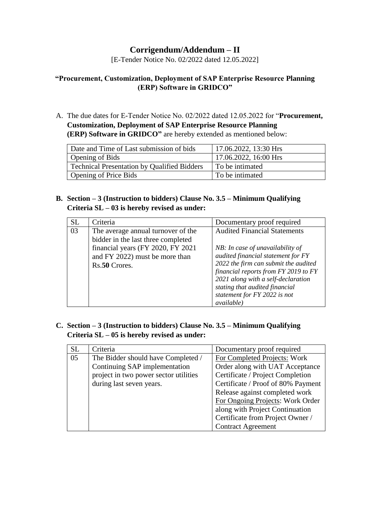# **Corrigendum/Addendum – II**

[E-Tender Notice No. 02/2022 dated 12.05.2022]

# **"Procurement, Customization, Deployment of SAP Enterprise Resource Planning (ERP) Software in GRIDCO"**

A. The due dates for E-Tender Notice No. 02/2022 dated 12.05.2022 for "**Procurement, Customization, Deployment of SAP Enterprise Resource Planning (ERP) Software in GRIDCO"** are hereby extended as mentioned below:

| Date and Time of Last submission of bids    | 17.06.2022, 13:30 Hrs |
|---------------------------------------------|-----------------------|
| <b>Opening of Bids</b>                      | 17.06.2022, 16:00 Hrs |
| Technical Presentation by Qualified Bidders | To be intimated       |
| Opening of Price Bids                       | To be intimated       |

**B. Section – 3 (Instruction to bidders) Clause No. 3.5 – Minimum Qualifying Criteria SL – 03 is hereby revised as under:**

| <b>SL</b> | Criteria                                                                                                                                                         | Documentary proof required                                                                                                                                                                                                                                                                            |
|-----------|------------------------------------------------------------------------------------------------------------------------------------------------------------------|-------------------------------------------------------------------------------------------------------------------------------------------------------------------------------------------------------------------------------------------------------------------------------------------------------|
| 03        | The average annual turnover of the<br>bidder in the last three completed<br>financial years (FY 2020, FY 2021<br>and FY 2022) must be more than<br>Rs.50 Crores. | <b>Audited Financial Statements</b><br>NB: In case of unavailability of<br>audited financial statement for FY<br>2022 the firm can submit the audited<br>financial reports from FY 2019 to FY<br>2021 along with a self-declaration<br>stating that audited financial<br>statement for FY 2022 is not |
|           |                                                                                                                                                                  | <i>available</i> )                                                                                                                                                                                                                                                                                    |

**C. Section – 3 (Instruction to bidders) Clause No. 3.5 – Minimum Qualifying Criteria SL – 05 is hereby revised as under:**

| <b>SL</b> | Criteria                              | Documentary proof required         |
|-----------|---------------------------------------|------------------------------------|
| 05        | The Bidder should have Completed /    | For Completed Projects: Work       |
|           | Continuing SAP implementation         | Order along with UAT Acceptance    |
|           | project in two power sector utilities | Certificate / Project Completion   |
|           | during last seven years.              | Certificate / Proof of 80% Payment |
|           |                                       | Release against completed work     |
|           |                                       | For Ongoing Projects: Work Order   |
|           |                                       | along with Project Continuation    |
|           |                                       | Certificate from Project Owner /   |
|           |                                       | <b>Contract Agreement</b>          |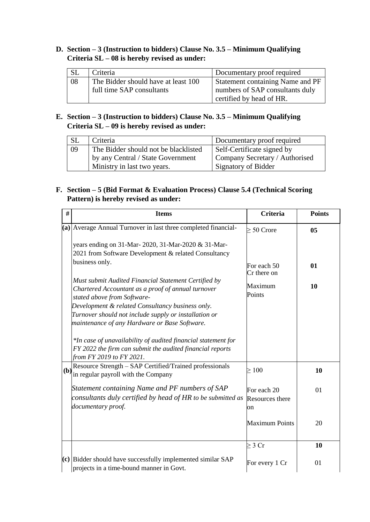# **D. Section – 3 (Instruction to bidders) Clause No. 3.5 – Minimum Qualifying Criteria SL – 08 is hereby revised as under:**

|    | Criteria                            | Documentary proof required       |
|----|-------------------------------------|----------------------------------|
| 08 | The Bidder should have at least 100 | Statement containing Name and PF |
|    | full time SAP consultants           | numbers of SAP consultants duly  |
|    |                                     | certified by head of HR.         |

# **E. Section – 3 (Instruction to bidders) Clause No. 3.5 – Minimum Qualifying Criteria SL – 09 is hereby revised as under:**

| <b>SL</b> | Criteria                             | Documentary proof required     |
|-----------|--------------------------------------|--------------------------------|
| 09        | The Bidder should not be blacklisted | Self-Certificate signed by     |
|           | by any Central / State Government    | Company Secretary / Authorised |
|           | Ministry in last two years.          | Signatory of Bidder            |

# **F. Section – 5 (Bid Format & Evaluation Process) Clause 5.4 (Technical Scoring Pattern) is hereby revised as under:**

| #   | <b>Items</b>                                                                                                                                                                                  | <b>Criteria</b>                      | <b>Points</b> |
|-----|-----------------------------------------------------------------------------------------------------------------------------------------------------------------------------------------------|--------------------------------------|---------------|
|     | $(a)$ Average Annual Turnover in last three completed financial-<br>years ending on 31-Mar-2020, 31-Mar-2020 & 31-Mar-<br>2021 from Software Development & related Consultancy                | $\geq 50$ Crore                      | 05            |
|     | business only.                                                                                                                                                                                | For each 50<br>Cr there on           | 01            |
|     | Must submit Audited Financial Statement Certified by<br>Chartered Accountant as a proof of annual turnover<br>stated above from Software-<br>Development & related Consultancy business only. | Maximum<br>Points                    | 10            |
|     | Turnover should not include supply or installation or                                                                                                                                         |                                      |               |
|     | maintenance of any Hardware or Base Software.                                                                                                                                                 |                                      |               |
|     | *In case of unavailability of audited financial statement for<br>FY 2022 the firm can submit the audited financial reports<br>from FY 2019 to FY 2021.                                        |                                      |               |
| (b) | Resource Strength - SAP Certified/Trained professionals<br>in regular payroll with the Company                                                                                                | $\geq 100$                           | 10            |
|     | Statement containing Name and PF numbers of SAP<br>consultants duly certified by head of HR to be submitted as<br>documentary proof.                                                          | For each 20<br>Resources there<br>on | 01            |
|     |                                                                                                                                                                                               | <b>Maximum Points</b>                | 20            |
|     |                                                                                                                                                                                               | $\geq 3$ Cr                          | 10            |
|     | $(c)$ Bidder should have successfully implemented similar SAP<br>projects in a time-bound manner in Govt.                                                                                     | For every 1 Cr                       | 01            |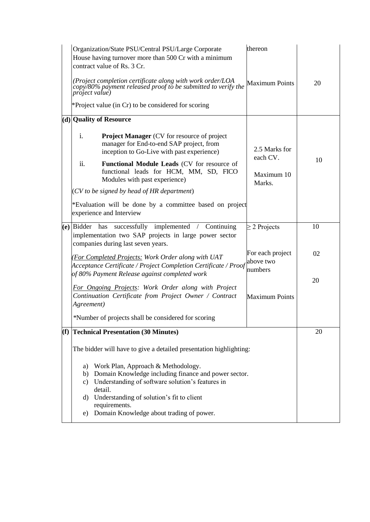| Organization/State PSU/Central PSU/Large Corporate<br>House having turnover more than 500 Cr with a minimum<br>contract value of Rs. 3 Cr.<br>(Project completion certificate along with work order/LOA<br>copy/80% payment released proof to be submitted to verify the<br><i>project value</i> )<br>*Project value (in Cr) to be considered for scoring                                                                                                        | thereon<br><b>Maximum Points</b>                  | 20 |
|------------------------------------------------------------------------------------------------------------------------------------------------------------------------------------------------------------------------------------------------------------------------------------------------------------------------------------------------------------------------------------------------------------------------------------------------------------------|---------------------------------------------------|----|
| (d) Quality of Resource<br>$\mathbf{i}$ .<br><b>Project Manager</b> (CV for resource of project<br>manager for End-to-end SAP project, from<br>inception to Go-Live with past experience)<br>ii.<br>Functional Module Leads (CV for resource of<br>functional leads for HCM, MM, SD, FICO<br>Modules with past experience)<br>(CV to be signed by head of HR department)<br>*Evaluation will be done by a committee based on project<br>experience and Interview | 2.5 Marks for<br>each CV.<br>Maximum 10<br>Marks. | 10 |
| (e) Bidder has successfully implemented / Continuing<br>implementation two SAP projects in large power sector<br>companies during last seven years.                                                                                                                                                                                                                                                                                                              | $\geq$ 2 Projects                                 | 10 |
| (For Completed Projects: Work Order along with UAT<br>Acceptance Certificate / Project Completion Certificate / Proof<br>of 80% Payment Release against completed work                                                                                                                                                                                                                                                                                           | For each project<br>above two<br>numbers          | 02 |
| For Ongoing Projects: Work Order along with Project<br>Continuation Certificate from Project Owner / Contract<br>Agreement)<br>*Number of projects shall be considered for scoring                                                                                                                                                                                                                                                                               | <b>Maximum Points</b>                             | 20 |
| (f) Technical Presentation (30 Minutes)                                                                                                                                                                                                                                                                                                                                                                                                                          |                                                   | 20 |
| The bidder will have to give a detailed presentation highlighting:<br>Work Plan, Approach & Methodology.<br>a)<br>b) Domain Knowledge including finance and power sector.<br>c) Understanding of software solution's features in<br>detail.<br>Understanding of solution's fit to client<br>d)<br>requirements.<br>Domain Knowledge about trading of power.<br>e)                                                                                                |                                                   |    |